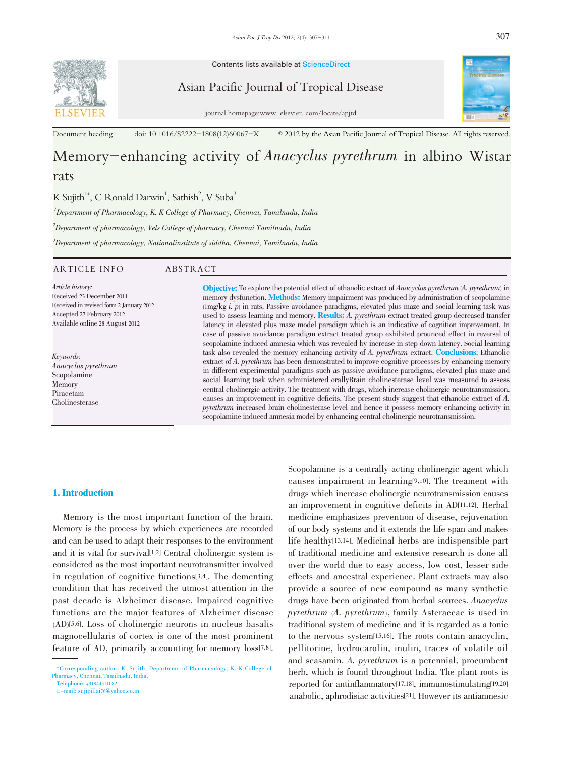

Contents lists available at ScienceDirect

Asian Pacific Journal of Tropical Disease



journal homepage:www. elsevier. com/locate/apjtd

Document heading doi: 10.1016/S2222-1808(12)60067-X  $\textcircled{2012}$  by the Asian Pacific Journal of Tropical Disease. All rights reserved.

# Memory-enhancing activity of *Anacyclus pyrethrum* in albino Wistar rats

K Sujith<sup>1\*</sup>, C Ronald Darwin<sup>1</sup>, Sathish<sup>2</sup>, V Suba<sup>3</sup>

 $1$ Department of Pharmacology, K. K College of Pharmacy, Chennai, Tamilnadu, India

 $^{2}$ Department of pharmacology, Vels College of pharmacy, Chennai Tamilnadu, India

 $^3$ Department of pharmacology, Nationalinstitute of siddha, Chennai, Tamilnadu, India

| ARTICLE INFO                                                                                                                                             | ABSTRACT                                                                                                                                                                                                                                                                                                                                                                                                                                                                                                                                                       |
|----------------------------------------------------------------------------------------------------------------------------------------------------------|----------------------------------------------------------------------------------------------------------------------------------------------------------------------------------------------------------------------------------------------------------------------------------------------------------------------------------------------------------------------------------------------------------------------------------------------------------------------------------------------------------------------------------------------------------------|
| Article history:<br>Received 23 December 2011<br>Received in revised form 2 January 2012<br>Accepted 27 February 2012<br>Available online 28 August 2012 | <b>Objective:</b> To explore the potential effect of ethanolic extract of <i>Anacyclus pyrethrum</i> (A. pyrethrum) in<br>memory dysfunction. <b>Methods:</b> Memory impairment was produced by administration of scopolamine<br>$(\text{Im}g/\text{kg} i, p)$ in rats. Passive avoidance paradigms, elevated plus maze and social learning task was<br>used to assess learning and memory. Results: A. pyrethrum extract treated group decreased transfer<br>latency in elevated plus maze model paradigm which is an indicative of cognition improvement. In |
|                                                                                                                                                          | na and the control of the control of the control of the control of the control of the control of the control of                                                                                                                                                                                                                                                                                                                                                                                                                                                |

Keywords: Anacyclus pyrethrum Scopolamine Memory Piracetam Cholinesterase

assive avoidance paradigm extract treated group exhibited prounced effect in reversal of scopolamine induced amnesia which was revealed by increase in step down latency. Social learning task also revealed the memory enhancing activity of A. pyrethrum extract. Conclusions: Ethanolic extract of A. pyrethrum has been demonstrated to improve cognitive processes by enhancing memory in different experimental paradigms such as passive avoidance paradigms, elevated plus maze and social learning task when administered orallyBrain cholinesterase level was measured to assess central cholinergic activity. The treatment with drugs, which increase cholinergic neurotransmission, causes an improvement in cognitive deficits. The present study suggest that ethanolic extract of A. pyrethrum increased brain cholinesterase level and hence it possess memory enhancing activity in scopolamine induced amnesia model by enhancing central cholinergic neurotransmission.

#### 1. Introduction

Memory is the most important function of the brain. Memory is the process by which experiences are recorded and can be used to adapt their responses to the environment and it is vital for survival[1,2] Central cholinergic system is considered as the most important neurotransmitter involved in regulation of cognitive functions[3,4]. The dementing condition that has received the utmost attention in the past decade is Alzheimer disease. Impaired cognitive functions are the major features of Alzheimer disease (AD)[5,6]. Loss of cholinergic neurons in nucleus basalis magnocellularis of cortex is one of the most prominent feature of AD, primarily accounting for memory loss[7,8].

Telephone: +91944511082

E-mail: sujipillai76@yahoo.co.in

Scopolamine is a centrally acting cholinergic agent which causes impairment in learning[9,10]. The treament with drugs which increase cholinergic neurotransmission causes an improvement in cognitive deficits in AD[11,12]. Herbal medicine emphasizes prevention of disease, rejuvenation of our body systems and it extends the life span and makes life healthy[13,14]. Medicinal herbs are indispensible part of traditional medicine and extensive research is done all over the world due to easy access, low cost, lesser side effects and ancestral experience. Plant extracts may also provide a source of new compound as many synthetic drugs have been originated from herbal sources. Anacyclus pyrethrum (A. pyrethrum), family Asteraceae is used in traditional system of medicine and it is regarded as a tonic to the nervous system[15,16]. The roots contain anacyclin, pellitorine, hydrocarolin, inulin, traces of volatile oil and seasamin. A. pyrethrum is a perennial, procumbent herb, which is found throughout India. The plant roots is reported for antinflammatory[17,18], immunostimulating[19,20] anabolic, aphrodisiac activities[21]. However its antiamnesic

<sup>\*</sup>Corresponding author: K. Sujith, Department of Pharmacology, K. K College of Pharmacy, Chennai, Tamilnadu, India.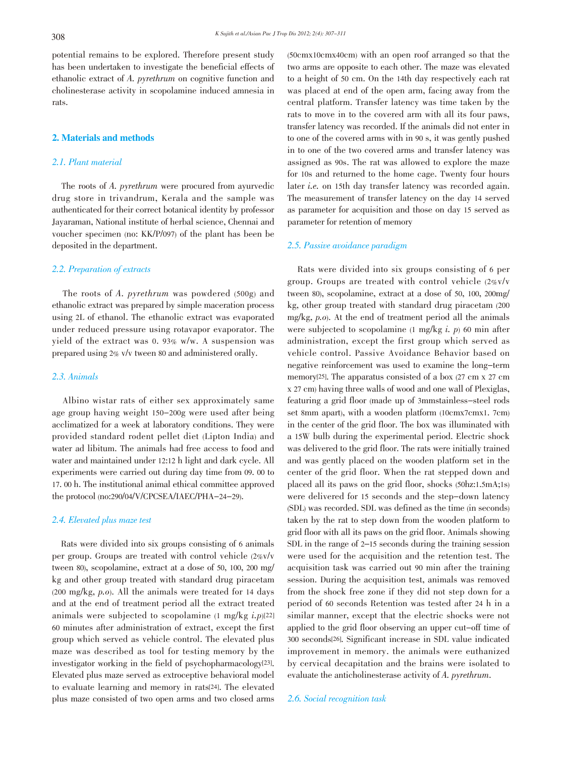potential remains to be explored. Therefore present study has been undertaken to investigate the beneficial effects of ethanolic extract of A. pyrethrum on cognitive function and cholinesterase activity in scopolamine induced amnesia in rats.

#### 2. Materials and methods

## 2.1. Plant material

The roots of A. pyrethrum were procured from ayurvedic drug store in trivandrum, Kerala and the sample was authenticated for their correct botanical identity by professor Jayaraman, National institute of herbal science, Chennai and voucher specimen (no: KK/P/097) of the plant has been be deposited in the department.

#### 2.2. Preparation of extracts

The roots of A. pyrethrum was powdered (500g) and ethanolic extract was prepared by simple maceration process using 2L of ethanol. The ethanolic extract was evaporated under reduced pressure using rotavapor evaporator. The yield of the extract was 0. 93% w/w. A suspension was prepared using 2% v/v tween 80 and administered orally.

# 2.3. Animals

Albino wistar rats of either sex approximately same age group having weight 150-200g were used after being acclimatized for a week at laboratory conditions. They were provided standard rodent pellet diet (Lipton India) and water ad libitum. The animals had free access to food and water and maintained under 12:12 h light and dark cycle. All experiments were carried out during day time from 09. 00 to 17. 00 h. The institutional animal ethical committee approved the protocol (no:290/04/V/CPCSEA/IAEC/PHA-24-29).

# 2.4. Elevated plus maze test

Rats were divided into six groups consisting of 6 animals per group. Groups are treated with control vehicle (2%v/v tween 80), scopolamine, extract at a dose of 50, 100, 200 mg/ kg and other group treated with standard drug piracetam (200 mg/kg, p.o). All the animals were treated for <sup>14</sup> days and at the end of treatment period all the extract treated animals were subjected to scopolamine  $(1 \text{ mg/kg } i.p)[22]$ 60 minutes after administration of extract, except the first group which served as vehicle control. The elevated plus maze was described as tool for testing memory by the investigator working in the field of psychopharmacology[23]. Elevated plus maze served as extroceptive behavioral model to evaluate learning and memory in rats[24]. The elevated plus maze consisted of two open arms and two closed arms

(50cmx10cmx40cm) with an open roof arranged so that the two arms are opposite to each other. The maze was elevated to a height of 50 cm. On the 14th day respectively each rat was placed at end of the open arm, facing away from the central platform. Transfer latency was time taken by the rats to move in to the covered arm with all its four paws, transfer latency was recorded. If the animals did not enter in to one of the covered arms with in 90 s, it was gently pushed in to one of the two covered arms and transfer latency was assigned as 90s. The rat was allowed to explore the maze for 10s and returned to the home cage. Twenty four hours later i.e. on 15th day transfer latency was recorded again. The measurement of transfer latency on the day 14 served as parameter for acquisition and those on day 15 served as parameter for retention of memory

#### 2.5. Passive avoidance paradigm

Rats were divided into six groups consisting of 6 per group. Groups are treated with control vehicle (2%v/v tween 80), scopolamine, extract at a dose of 50, 100, 200mg/ kg, other group treated with standard drug piracetam (200 mg/kg, p.o). At the end of treatment period all the animals were subjected to scopolamine (1 mg/kg i. p) 60 min after administration, except the first group which served as vehicle control. Passive Avoidance Behavior based on negative reinforcement was used to examine the long-term memory[25]. The apparatus consisted of a box (27 cm x 27 cm x 27 cm) having three walls of wood and one wall of Plexiglas, featuring a grid floor (made up of 3mmstainless-steel rods set 8mm apart), with a wooden platform (10cmx7cmx1. 7cm) in the center of the grid floor. The box was illuminated with a 15W bulb during the experimental period. Electric shock was delivered to the grid floor. The rats were initially trained and was gently placed on the wooden platform set in the center of the grid floor. When the rat stepped down and placed all its paws on the grid floor, shocks (50hz:1.5mA;1s) were delivered for 15 seconds and the step-down latency (SDL) was recorded. SDL was defined as the time (in seconds) taken by the rat to step down from the wooden platform to grid floor with all its paws on the grid floor. Animals showing SDL in the range of <sup>2</sup>–<sup>15</sup> seconds during the training session were used for the acquisition and the retention test. The acquisition task was carried out 90 min after the training session. During the acquisition test, animals was removed from the shock free zone if they did not step down for a period of 60 seconds Retention was tested after 24 h in a similar manner, except that the electric shocks were not applied to the grid floor observing an upper cut-off time of 300 seconds[26]. Significant increase in SDL value indicated improvement in memory. the animals were euthanized by cervical decapitation and the brains were isolated to evaluate the anticholinesterase activity of A. pyrethrum.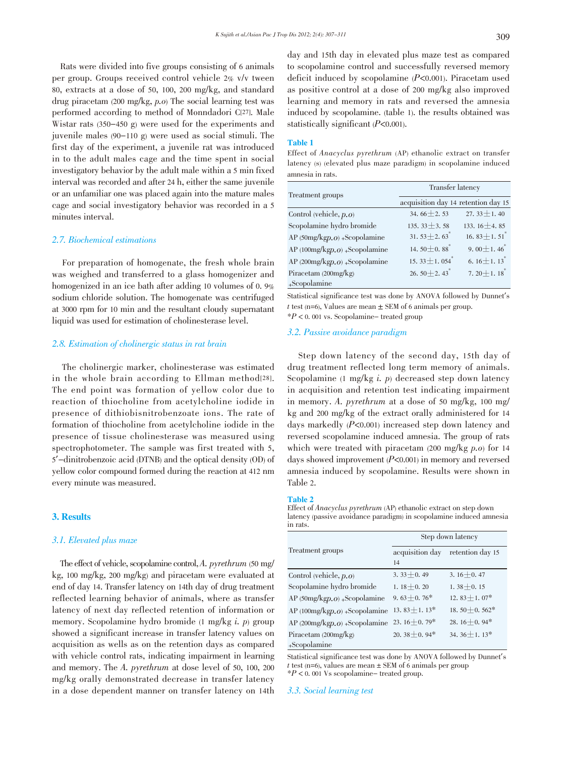Rats were divided into five groups consisting of 6 animals per group. Groups received control vehicle 2% v/v tween 80, extracts at a dose of 50, 100, 200 mg/kg, and standard drug piracetam (200 mg/kg, p.o) The social learning test was performed according to method of Monndadori C[27]. Male Wistar rats (350-450 g) were used for the experiments and juvenile males (90-110 g) were used as social stimuli. The first day of the experiment, a juvenile rat was introduced in to the adult males cage and the time spent in social investigatory behavior by the adult male within a 5 min fixed

interval was recorded and after 24 h, either the same juvenile or an unfamiliar one was placed again into the mature males cage and social investigatory behavior was recorded in a 5 minutes interval.

# 2.7. Biochemical estimations

For preparation of homogenate, the fresh whole brain was weighed and transferred to a glass homogenizer and homogenized in an ice bath after adding 10 volumes of 0. 9% sodium chloride solution. The homogenate was centrifuged at 3000 rpm for 10 min and the resultant cloudy supernatant liquid was used for estimation of cholinesterase level.

## 2.8. Estimation of cholinergic status in rat brain

The cholinergic marker, cholinesterase was estimated in the whole brain according to Ellman method<sup>[28]</sup>. The end point was formation of yellow color due to reaction of thiocholine from acetylcholine iodide in presence of dithiobisnitrobenzoate ions. The rate of formation of thiocholine from acetylcholine iodide in the presence of tissue cholinesterase was measured using spectrophotometer. The sample was first treated with 5, <sup>5</sup>'-dinitrobenzoic acid (DTNB) and the optical density (OD) of yellow color compound formed during the reaction at 412 nm every minute was measured.

#### 3. Results

#### 3.1. Elevated plus maze

The effect of vehicle, scopolamine control,  $A$ . pyrethrum (50 mg/ kg, 100 mg/kg, 200 mg/kg) and piracetam were evaluated at end of day 14. Transfer latency on 14th day of drug treatment reflected learning behavior of animals, where as transfer latency of next day reflected retention of information or memory. Scopolamine hydro bromide (1 mg/kg i. p) group showed a significant increase in transfer latency values on acquisition as wells as on the retention days as compared with vehicle control rats, indicating impairment in learning and memory. The A. pyrethrum at dose level of 50, 100, <sup>200</sup> mg/kg orally demonstrated decrease in transfer latency in a dose dependent manner on transfer latency on 14th day and 15th day in elevated plus maze test as compared to scopolamine control and successfully reversed memory deficit induced by scopolamine (P<0.001). Piracetam used as positive control at a dose of 200 mg/kg also improved learning and memory in rats and reversed the amnesia induced by scopolamine. (table 1). the results obtained was statistically significant  $(P<0.001)$ .

#### Table 1

Effect of Anacyclus pyrethrum (AP) ethanolic extract on transfer latency (s) (elevated plus maze paradigm) in scopolamine induced amnesia in rats.

| Treatment groups              | <b>Transfer latency</b>             |                                |  |
|-------------------------------|-------------------------------------|--------------------------------|--|
|                               | acquisition day 14 retention day 15 |                                |  |
| Control (vehicle, $p.o$ )     | 34.66 $\pm$ 2.53                    | 27. 33 $\pm$ 1. 40             |  |
| Scopolamine hydro bromide     | 135. 33 $\pm$ 3. 58                 | 133.16 $+4.85$                 |  |
| AP (50mg/kgp.o) +Scopolamine  | 31.53 $\pm$ 2.63 <sup>*</sup>       | 16. $83 \pm 1.51$ <sup>*</sup> |  |
| AP (100mg/kgp.o) +Scopolamine | 14.50 $\pm$ 0.88 <sup>*</sup>       | 9.00 $\pm$ 1.46 <sup>*</sup>   |  |
| AP (200mg/kgp.o) +Scopolamine | 15. 33 $\pm$ 1. 054                 | 6. $16 \pm 1.13$ <sup>*</sup>  |  |
| Piracetam $(200mg/kg)$        | 26. 50 $\pm$ 2. 43 <sup>*</sup>     | 7.20 $\pm$ 1.18 <sup>*</sup>   |  |
| +Scopolamine                  |                                     |                                |  |

Statistical significance test was done by ANOVA followed by Dunnet's t test (n=6), Values are mean  $\pm$  SEM of 6 animals per group.  $*P < 0$ . 001 vs. Scopolamine- treated group

# 3.2. Passive avoidance paradigm

Step down latency of the second day, 15th day of drug treatment reflected long term memory of animals. Scopolamine (1 mg/kg  $i$ ,  $p$ ) decreased step down latency in acquisition and retention test indicating impairment in memory. A. pyrethrum at a dose of <sup>50</sup> mg/kg, <sup>100</sup> mg/ kg and 200 mg/kg of the extract orally administered for 14 days markedly (P<0.001) increased step down latency and reversed scopolamine induced amnesia. The group of rats which were treated with piracetam (200 mg/kg  $p.o$ ) for 14 days showed improvement  $(P<0.001)$  in memory and reversed amnesia induced by scopolamine. Results were shown in Table 2.

#### Table 2

Effect of Anacyclus pyrethrum (AP) ethanolic extract on step down latency (passive avoidance paradigm) in scopolamine induced amnesia in rats.

|                                 | Step down latency  |                                 |  |
|---------------------------------|--------------------|---------------------------------|--|
| Treatment groups                | acquisition day    | retention day 15                |  |
|                                 | 14                 |                                 |  |
| Control (vehicle, $p.o$ )       | $3.33 + 0.49$      | 3.16 $\pm$ 0.47                 |  |
| Scopolamine hydro bromide       | $1.18 + 0.20$      | $1.38 + 0.15$                   |  |
| AP $(50mg/kgp.o) +$ Scopolamine | 9.63 + 0.76 $*$    | 12. $83 \pm 1.07$ *             |  |
| AP $(100mg/kgp.o)$ +Scopolamine | $13.83 \pm 1.13*$  | 18.50 $\pm$ 0.562 $*$           |  |
| AP $(200mg/kgp.o)$ +Scopolamine | 23. $16 \pm 0.79*$ | 28. $16+0.94*$                  |  |
| Piracetam $(200mg/kg)$          | 20.38 $\pm$ 0.94*  | 34. 36 $\pm$ 1. 13 <sup>*</sup> |  |
| +Scopolamine                    |                    |                                 |  |

Statistical significance test was done by ANOVA followed by Dunnet's t test (n=6), values are mean  $\pm$  SEM of 6 animals per group  $*P < 0.001$  Vs scopolamine-treated group.

3.3. Social learning test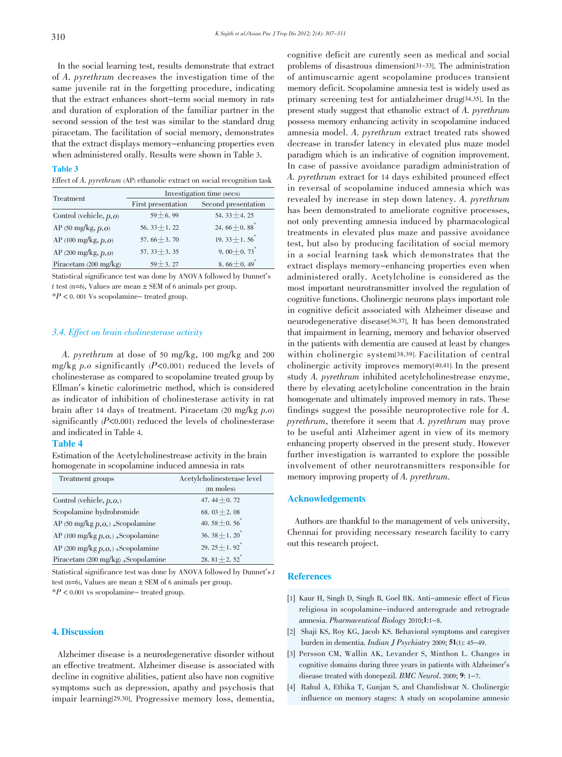In the social learning test, results demonstrate that extract of A. pyrethrum decreases the investigation time of the same juvenile rat in the forgetting procedure, indicating that the extract enhances short-term social memory in rats and duration of exploration of the familiar partner in the second session of the test was similar to the standard drug piracetam. The facilitation of social memory, demonstrates that the extract displays memory-enhancing properties even when administered orally. Results were shown in Table 3.

#### Table 3

Effect of A. pyrethrum (AP) ethanolic extract on social recognition task

|                           | Investigation time (secs) |                                 |  |
|---------------------------|---------------------------|---------------------------------|--|
| Treatment                 | First presentation        | Second presentation             |  |
| Control (vehicle, $p.o$ ) | $59 + 6.99$               | 54. 33 $\pm$ 4. 25              |  |
| AP (50 mg/kg, $p.o$ )     | 56. 33 $\pm$ 1. 22        | 24.66 $\pm$ 0.88 <sup>*</sup>   |  |
| AP (100 mg/kg, $p.o$ )    | 57.66 $+3.70$             | 19. 33 $\pm$ 1. 56 <sup>*</sup> |  |
| AP (200 mg/kg, p.o)       | 57. $33 + 3.35$           | 9.00 $\pm$ 0.73 <sup>*</sup>    |  |
| Piracetam (200 mg/kg)     | $59 + 3.27$               | 8.66 $\pm$ 0.49 <sup>*</sup>    |  |

Statistical significance test was done by ANOVA followed by Dunnet's t test (n=6), Values are mean  $\pm$  SEM of 6 animals per group.  $*P < 0$ . 001 Vs scopolamine-treated group.

3.4. Effect on brain cholinesterase activity

# A. pyrethrum at dose of <sup>50</sup> mg/kg, <sup>100</sup> mg/kg and <sup>200</sup> mg/kg  $p.o$  significantly ( $P<0.001$ ) reduced the levels of cholinesterase as compared to scopolamine treated group by Ellman's kinetic calorimetric method, which is considered as indicator of inhibition of cholinesterase activity in rat brain after <sup>14</sup> days of treatment. Piracetam (20 mg/kg p.o) significantly  $(P<0.001)$  reduced the levels of cholinesterase and indicated in Table 4.

#### Table 4

Estimation of the Acetylcholinestrease activity in the brain homogenate in scopolamine induced amnesia in rats

| Treatment groups                    | Acetylcholinesterase level      |
|-------------------------------------|---------------------------------|
|                                     | (m moles)                       |
| Control (vehicle, $p.o.$ )          | 47.44 $\pm$ 0.72                |
| Scopolamine hydrobromide            | 68. $03 \pm 2.08$               |
| AP (50 mg/kg $p.o.$ ) +Scopolamine  | 40.58 $\pm$ 0.56 <sup>*</sup>   |
| AP (100 mg/kg $p.o.$ ) +Scopolamine | 36. 38 $\pm$ 1. 20 <sup>*</sup> |
| AP (200 mg/kg $p.o.$ ) +Scopolamine | 29. $25 \pm 1.92$ <sup>*</sup>  |
| Piracetam (200 mg/kg) +Scopolamine  | 28. 81 $\pm$ 2. 52 <sup>*</sup> |

Statistical significance test was done by ANOVA followed by Dunnet's t test (n=6), Values are mean  $\pm$  SEM of 6 animals per group.  $*P < 0.001$  vs scopolamine-treated group.

# 4. Discussion

Alzheimer disease is a neurodegenerative disorder without an effective treatment. Alzheimer disease is associated with decline in cognitive abilities, patient also have non cognitive symptoms such as depression, apathy and psychosis that impair learning[29,30]. Progressive memory loss, dementia,

cognitive deficit are curently seen as medical and social problems of disastrous dimension[31-33]. The administration of antimuscarnic agent scopolamine produces transient memory deficit. Scopolamine amnesia test is widely used as primary screening test for antialzheimer drug[34,35]. In the present study suggest that ethanolic extract of A. pyrethrum possess memory enhancing activity in scopolamine induced amnesia model. A. pyrethrum extract treated rats showed decrease in transfer latency in elevated plus maze model paradigm which is an indicative of cognition improvement. In case of passive avoidance paradigm administration of A. pyrethrum extract for <sup>14</sup> days exhibited prounced effect in reversal of scopolamine induced amnesia which was revealed by increase in step down latency. A. pyrethrum has been demonstrated to ameliorate cognitive processes, not only preventing amnesia induced by pharmacological treatments in elevated plus maze and passive avoidance test, but also by producing facilitation of social memory in a social learning task which demonstrates that the extract displays memory-enhancing properties even when administered orally. Acetylcholine is considered as the most important neurotransmitter involved the regulation of cognitive functions. Cholinergic neurons plays important role in cognitive deficit associated with Alzheimer disease and neurodegenerative disease[36,37]. It has been demonstrated that impairment in learning, memory and behavior observed in the patients with dementia are caused at least by changes within cholinergic system[38,39]. Facilitation of central cholinergic activity improves memory[40,41]. In the present study A. pyrethrum inhibited acetylcholinestrease enzyme, there by elevating acetylcholine concentration in the brain homogenate and ultimately improved memory in rats. These findings suggest the possible neuroprotective role for A. pyrethrum, therefore it seem that A. pyrethrum may prove to be useful anti Alzheimer agent in view of its memory enhancing property observed in the present study. However further investigation is warranted to explore the possible involvement of other neurotransmitters responsible for memory improving property of A. *pyrethrum*.

#### Acknowledgements

Authors are thankful to the management of vels university, Chennai for providing necessary research facility to carry out this research project.

# **References**

- [1] Kaur H, Singh D, Singh B, Goel RK. Anti-amnesic effect of Ficus religiosa in scopolamine-induced anterograde and retrograde amnesia. Pharmaceutical Biology 2010;1:1-8.
- [2] Shaji KS, Roy KG, Jacob KS. Behavioral symptoms and caregiver burden in dementia. Indian J Psychiatry 2009; 51(1): 45-49.
- [3] Persson CM, Wallin AK, Levander S, Minthon L. Changes in cognitive domains during three years in patients with Alzheimer's disease treated with donepezil. BMC Neurol. 2009; 9: 1-7.
- [4] Rahul A, Ethika T, Gunjan S, and Chandishwar N. Cholinergic influence on memory stages: A study on scopolamine amnesic